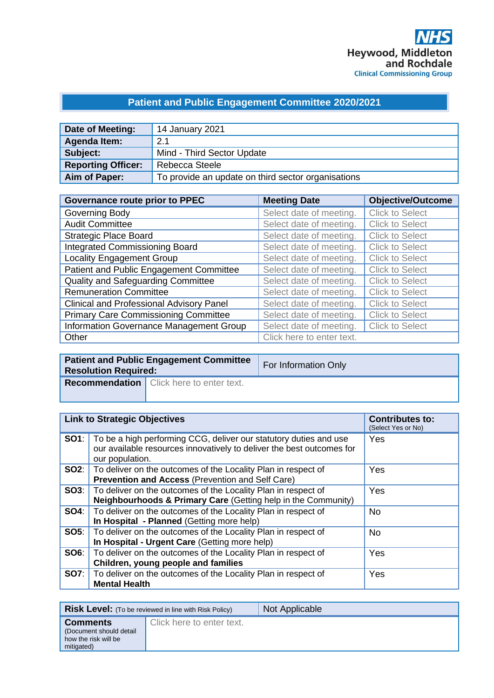# **Patient and Public Engagement Committee 2020/2021**

| Date of Meeting:          | 14 January 2021                                    |
|---------------------------|----------------------------------------------------|
| Agenda Item:              | 2.1                                                |
| Subject:                  | Mind - Third Sector Update                         |
| <b>Reporting Officer:</b> | Rebecca Steele                                     |
| Aim of Paper:             | To provide an update on third sector organisations |

| <b>Governance route prior to PPEC</b>           | <b>Meeting Date</b>       | <b>Objective/Outcome</b> |
|-------------------------------------------------|---------------------------|--------------------------|
| Governing Body                                  | Select date of meeting.   | <b>Click to Select</b>   |
| <b>Audit Committee</b>                          | Select date of meeting.   | <b>Click to Select</b>   |
| <b>Strategic Place Board</b>                    | Select date of meeting.   | <b>Click to Select</b>   |
| <b>Integrated Commissioning Board</b>           | Select date of meeting.   | <b>Click to Select</b>   |
| <b>Locality Engagement Group</b>                | Select date of meeting.   | <b>Click to Select</b>   |
| Patient and Public Engagement Committee         | Select date of meeting.   | <b>Click to Select</b>   |
| Quality and Safeguarding Committee              | Select date of meeting.   | <b>Click to Select</b>   |
| <b>Remuneration Committee</b>                   | Select date of meeting.   | <b>Click to Select</b>   |
| <b>Clinical and Professional Advisory Panel</b> | Select date of meeting.   | <b>Click to Select</b>   |
| <b>Primary Care Commissioning Committee</b>     | Select date of meeting.   | <b>Click to Select</b>   |
| Information Governance Management Group         | Select date of meeting.   | <b>Click to Select</b>   |
| Other                                           | Click here to enter text. |                          |

| <b>Resolution Required:</b> | <b>Patient and Public Engagement Committee</b>  | For Information Only |
|-----------------------------|-------------------------------------------------|----------------------|
|                             | <b>Recommendation</b> Click here to enter text. |                      |

| <b>Link to Strategic Objectives</b> |                                                                                                                                                                            | <b>Contributes to:</b><br>(Select Yes or No) |
|-------------------------------------|----------------------------------------------------------------------------------------------------------------------------------------------------------------------------|----------------------------------------------|
|                                     | <b>SO1</b> : To be a high performing CCG, deliver our statutory duties and use<br>our available resources innovatively to deliver the best outcomes for<br>our population. | Yes                                          |
|                                     | <b>SO2:</b>   To deliver on the outcomes of the Locality Plan in respect of<br>Prevention and Access (Prevention and Self Care)                                            | Yes                                          |
|                                     | <b>SO3:</b> To deliver on the outcomes of the Locality Plan in respect of<br>Neighbourhoods & Primary Care (Getting help in the Community)                                 | Yes                                          |
|                                     | <b>SO4:</b>   To deliver on the outcomes of the Locality Plan in respect of<br>In Hospital - Planned (Getting more help)                                                   | <b>No</b>                                    |
|                                     | <b>SO5:</b> To deliver on the outcomes of the Locality Plan in respect of<br>In Hospital - Urgent Care (Getting more help)                                                 | <b>No</b>                                    |
| SOS:                                | To deliver on the outcomes of the Locality Plan in respect of<br>Children, young people and families                                                                       | Yes                                          |
|                                     | <b>SO7:</b> To deliver on the outcomes of the Locality Plan in respect of<br><b>Mental Health</b>                                                                          | Yes                                          |

|                                                                                   | <b>Risk Level:</b> (To be reviewed in line with Risk Policy) | Not Applicable |
|-----------------------------------------------------------------------------------|--------------------------------------------------------------|----------------|
| <b>Comments</b><br>(Document should detail)<br>how the risk will be<br>mitigated) | Click here to enter text.                                    |                |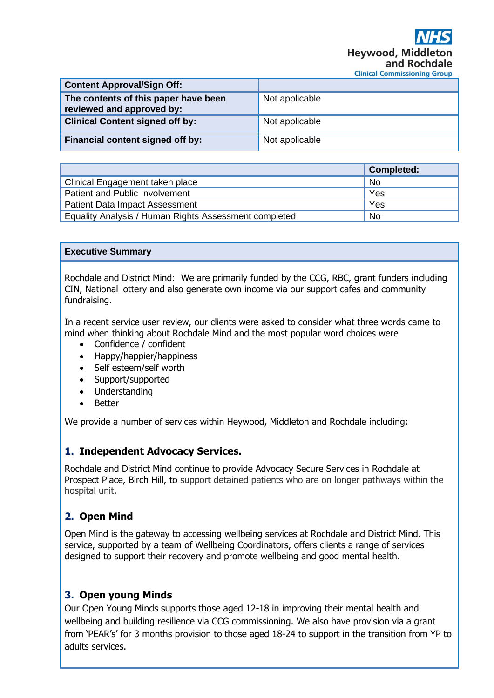| <b>Content Approval/Sign Off:</b>                                 |                |
|-------------------------------------------------------------------|----------------|
| The contents of this paper have been<br>reviewed and approved by: | Not applicable |
| <b>Clinical Content signed off by:</b>                            | Not applicable |
| Financial content signed off by:                                  | Not applicable |

|                                                       | <b>Completed:</b> |
|-------------------------------------------------------|-------------------|
| Clinical Engagement taken place                       | No.               |
| Patient and Public Involvement                        | Yes               |
| <b>Patient Data Impact Assessment</b>                 | Yes               |
| Equality Analysis / Human Rights Assessment completed | <b>No</b>         |

#### **Executive Summary**

Rochdale and District Mind: We are primarily funded by the CCG, RBC, grant funders including CIN, National lottery and also generate own income via our support cafes and community fundraising.

In a recent service user review, our clients were asked to consider what three words came to mind when thinking about Rochdale Mind and the most popular word choices were

- Confidence / confident
- Happy/happier/happiness
- Self esteem/self worth
- Support/supported
- Understanding
- Better

We provide a number of services within Heywood, Middleton and Rochdale including:

### **1. Independent Advocacy Services.**

Rochdale and District Mind continue to provide Advocacy Secure Services in Rochdale at Prospect Place, Birch Hill, to support detained patients who are on longer pathways within the hospital unit.

### **2. Open Mind**

Open Mind is the gateway to accessing wellbeing services at Rochdale and District Mind. This service, supported by a team of Wellbeing Coordinators, offers clients a range of services designed to support their recovery and promote wellbeing and good mental health.

### **3. Open young Minds**

Our Open Young Minds supports those aged 12-18 in improving their mental health and wellbeing and building resilience via CCG commissioning. We also have provision via a grant from 'PEAR's' for 3 months provision to those aged 18-24 to support in the transition from YP to adults services.